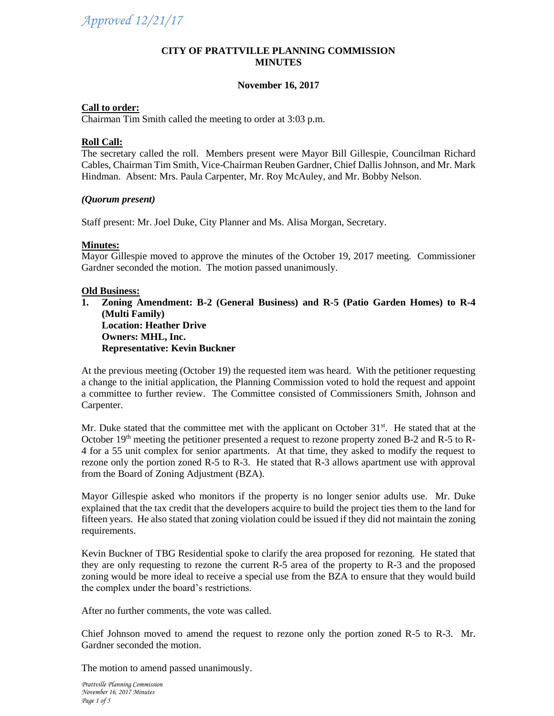#### **CITY OF PRATTVILLE PLANNING COMMISSION MINUTES**

# **November 16, 2017**

## **Call to order:**

Chairman Tim Smith called the meeting to order at 3:03 p.m.

#### **Roll Call:**

The secretary called the roll. Members present were Mayor Bill Gillespie, Councilman Richard Cables, Chairman Tim Smith, Vice-Chairman Reuben Gardner, Chief Dallis Johnson, and Mr. Mark Hindman. Absent: Mrs. Paula Carpenter, Mr. Roy McAuley, and Mr. Bobby Nelson.

#### *(Quorum present)*

Staff present: Mr. Joel Duke, City Planner and Ms. Alisa Morgan, Secretary.

#### **Minutes:**

Mayor Gillespie moved to approve the minutes of the October 19, 2017 meeting. Commissioner Gardner seconded the motion. The motion passed unanimously.

#### **Old Business:**

**1. Zoning Amendment: B-2 (General Business) and R-5 (Patio Garden Homes) to R-4 (Multi Family) Location: Heather Drive Owners: MHL, Inc. Representative: Kevin Buckner**

At the previous meeting (October 19) the requested item was heard. With the petitioner requesting a change to the initial application, the Planning Commission voted to hold the request and appoint a committee to further review. The Committee consisted of Commissioners Smith, Johnson and Carpenter.

Mr. Duke stated that the committee met with the applicant on October  $31<sup>st</sup>$ . He stated that at the October 19<sup>th</sup> meeting the petitioner presented a request to rezone property zoned B-2 and R-5 to R-4 for a 55 unit complex for senior apartments. At that time, they asked to modify the request to rezone only the portion zoned R-5 to R-3. He stated that R-3 allows apartment use with approval from the Board of Zoning Adjustment (BZA).

Mayor Gillespie asked who monitors if the property is no longer senior adults use. Mr. Duke explained that the tax credit that the developers acquire to build the project ties them to the land for fifteen years. He also stated that zoning violation could be issued if they did not maintain the zoning requirements.

Kevin Buckner of TBG Residential spoke to clarify the area proposed for rezoning. He stated that they are only requesting to rezone the current R-5 area of the property to R-3 and the proposed zoning would be more ideal to receive a special use from the BZA to ensure that they would build the complex under the board's restrictions.

After no further comments, the vote was called.

Chief Johnson moved to amend the request to rezone only the portion zoned R-5 to R-3. Mr. Gardner seconded the motion.

The motion to amend passed unanimously.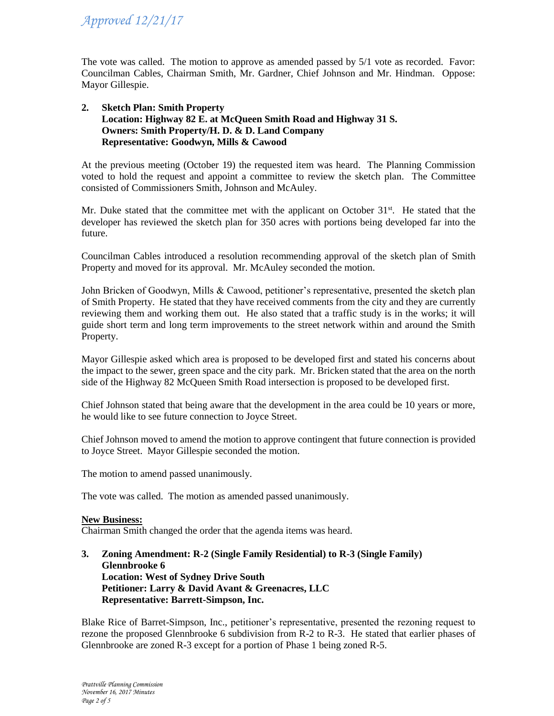The vote was called. The motion to approve as amended passed by 5/1 vote as recorded. Favor: Councilman Cables, Chairman Smith, Mr. Gardner, Chief Johnson and Mr. Hindman. Oppose: Mayor Gillespie.

#### **2. Sketch Plan: Smith Property Location: Highway 82 E. at McQueen Smith Road and Highway 31 S. Owners: Smith Property/H. D. & D. Land Company Representative: Goodwyn, Mills & Cawood**

At the previous meeting (October 19) the requested item was heard. The Planning Commission voted to hold the request and appoint a committee to review the sketch plan. The Committee consisted of Commissioners Smith, Johnson and McAuley.

Mr. Duke stated that the committee met with the applicant on October  $31<sup>st</sup>$ . He stated that the developer has reviewed the sketch plan for 350 acres with portions being developed far into the future.

Councilman Cables introduced a resolution recommending approval of the sketch plan of Smith Property and moved for its approval. Mr. McAuley seconded the motion.

John Bricken of Goodwyn, Mills & Cawood, petitioner's representative, presented the sketch plan of Smith Property. He stated that they have received comments from the city and they are currently reviewing them and working them out. He also stated that a traffic study is in the works; it will guide short term and long term improvements to the street network within and around the Smith Property.

Mayor Gillespie asked which area is proposed to be developed first and stated his concerns about the impact to the sewer, green space and the city park. Mr. Bricken stated that the area on the north side of the Highway 82 McQueen Smith Road intersection is proposed to be developed first.

Chief Johnson stated that being aware that the development in the area could be 10 years or more, he would like to see future connection to Joyce Street.

Chief Johnson moved to amend the motion to approve contingent that future connection is provided to Joyce Street. Mayor Gillespie seconded the motion.

The motion to amend passed unanimously.

The vote was called. The motion as amended passed unanimously.

## **New Business:**

Chairman Smith changed the order that the agenda items was heard.

**3. Zoning Amendment: R-2 (Single Family Residential) to R-3 (Single Family) Glennbrooke 6 Location: West of Sydney Drive South Petitioner: Larry & David Avant & Greenacres, LLC Representative: Barrett-Simpson, Inc.**

Blake Rice of Barret-Simpson, Inc., petitioner's representative, presented the rezoning request to rezone the proposed Glennbrooke 6 subdivision from R-2 to R-3. He stated that earlier phases of Glennbrooke are zoned R-3 except for a portion of Phase 1 being zoned R-5.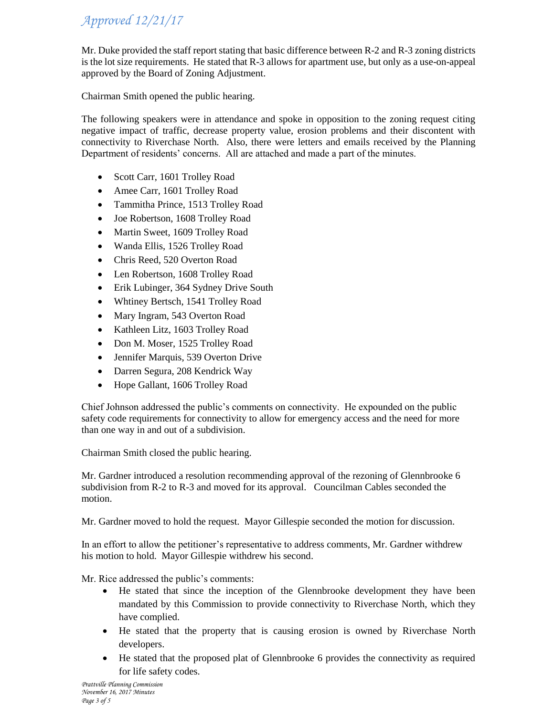Mr. Duke provided the staff report stating that basic difference between R-2 and R-3 zoning districts is the lot size requirements. He stated that R-3 allows for apartment use, but only as a use-on-appeal approved by the Board of Zoning Adjustment.

Chairman Smith opened the public hearing.

The following speakers were in attendance and spoke in opposition to the zoning request citing negative impact of traffic, decrease property value, erosion problems and their discontent with connectivity to Riverchase North. Also, there were letters and emails received by the Planning Department of residents' concerns. All are attached and made a part of the minutes.

- Scott Carr, 1601 Trolley Road
- Amee Carr, 1601 Trolley Road
- Tammitha Prince, 1513 Trolley Road
- Joe Robertson, 1608 Trolley Road
- Martin Sweet, 1609 Trolley Road
- Wanda Ellis, 1526 Trolley Road
- Chris Reed, 520 Overton Road
- Len Robertson, 1608 Trolley Road
- Erik Lubinger, 364 Sydney Drive South
- Whtiney Bertsch, 1541 Trolley Road
- Mary Ingram, 543 Overton Road
- Kathleen Litz, 1603 Trolley Road
- Don M. Moser, 1525 Trolley Road
- Jennifer Marquis, 539 Overton Drive
- Darren Segura, 208 Kendrick Way
- Hope Gallant, 1606 Trolley Road

Chief Johnson addressed the public's comments on connectivity. He expounded on the public safety code requirements for connectivity to allow for emergency access and the need for more than one way in and out of a subdivision.

Chairman Smith closed the public hearing.

Mr. Gardner introduced a resolution recommending approval of the rezoning of Glennbrooke 6 subdivision from R-2 to R-3 and moved for its approval. Councilman Cables seconded the motion.

Mr. Gardner moved to hold the request. Mayor Gillespie seconded the motion for discussion.

In an effort to allow the petitioner's representative to address comments, Mr. Gardner withdrew his motion to hold. Mayor Gillespie withdrew his second.

Mr. Rice addressed the public's comments:

- He stated that since the inception of the Glennbrooke development they have been mandated by this Commission to provide connectivity to Riverchase North, which they have complied.
- He stated that the property that is causing erosion is owned by Riverchase North developers.
- He stated that the proposed plat of Glennbrooke 6 provides the connectivity as required for life safety codes.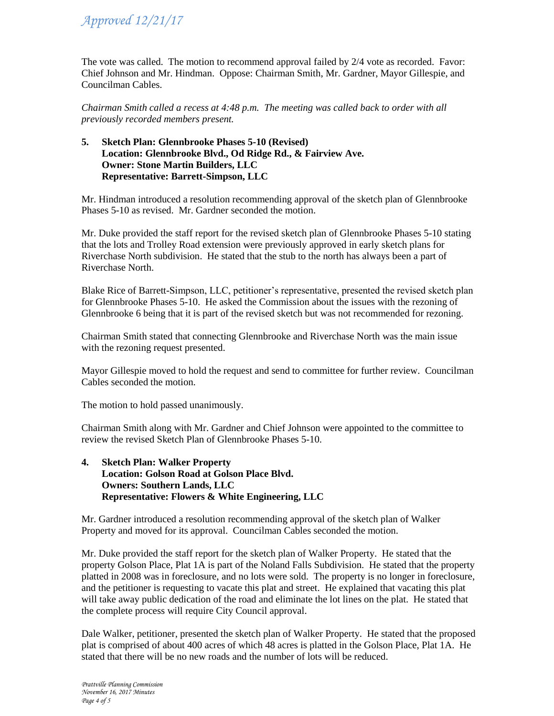The vote was called. The motion to recommend approval failed by 2/4 vote as recorded. Favor: Chief Johnson and Mr. Hindman. Oppose: Chairman Smith, Mr. Gardner, Mayor Gillespie, and Councilman Cables.

*Chairman Smith called a recess at 4:48 p.m. The meeting was called back to order with all previously recorded members present.* 

# **5. Sketch Plan: Glennbrooke Phases 5-10 (Revised) Location: Glennbrooke Blvd., Od Ridge Rd., & Fairview Ave. Owner: Stone Martin Builders, LLC Representative: Barrett-Simpson, LLC**

Mr. Hindman introduced a resolution recommending approval of the sketch plan of Glennbrooke Phases 5-10 as revised. Mr. Gardner seconded the motion.

Mr. Duke provided the staff report for the revised sketch plan of Glennbrooke Phases 5-10 stating that the lots and Trolley Road extension were previously approved in early sketch plans for Riverchase North subdivision. He stated that the stub to the north has always been a part of Riverchase North.

Blake Rice of Barrett-Simpson, LLC, petitioner's representative, presented the revised sketch plan for Glennbrooke Phases 5-10. He asked the Commission about the issues with the rezoning of Glennbrooke 6 being that it is part of the revised sketch but was not recommended for rezoning.

Chairman Smith stated that connecting Glennbrooke and Riverchase North was the main issue with the rezoning request presented.

Mayor Gillespie moved to hold the request and send to committee for further review. Councilman Cables seconded the motion.

The motion to hold passed unanimously.

Chairman Smith along with Mr. Gardner and Chief Johnson were appointed to the committee to review the revised Sketch Plan of Glennbrooke Phases 5-10.

## **4. Sketch Plan: Walker Property Location: Golson Road at Golson Place Blvd. Owners: Southern Lands, LLC Representative: Flowers & White Engineering, LLC**

Mr. Gardner introduced a resolution recommending approval of the sketch plan of Walker Property and moved for its approval. Councilman Cables seconded the motion.

Mr. Duke provided the staff report for the sketch plan of Walker Property. He stated that the property Golson Place, Plat 1A is part of the Noland Falls Subdivision. He stated that the property platted in 2008 was in foreclosure, and no lots were sold. The property is no longer in foreclosure, and the petitioner is requesting to vacate this plat and street. He explained that vacating this plat will take away public dedication of the road and eliminate the lot lines on the plat. He stated that the complete process will require City Council approval.

Dale Walker, petitioner, presented the sketch plan of Walker Property. He stated that the proposed plat is comprised of about 400 acres of which 48 acres is platted in the Golson Place, Plat 1A. He stated that there will be no new roads and the number of lots will be reduced.